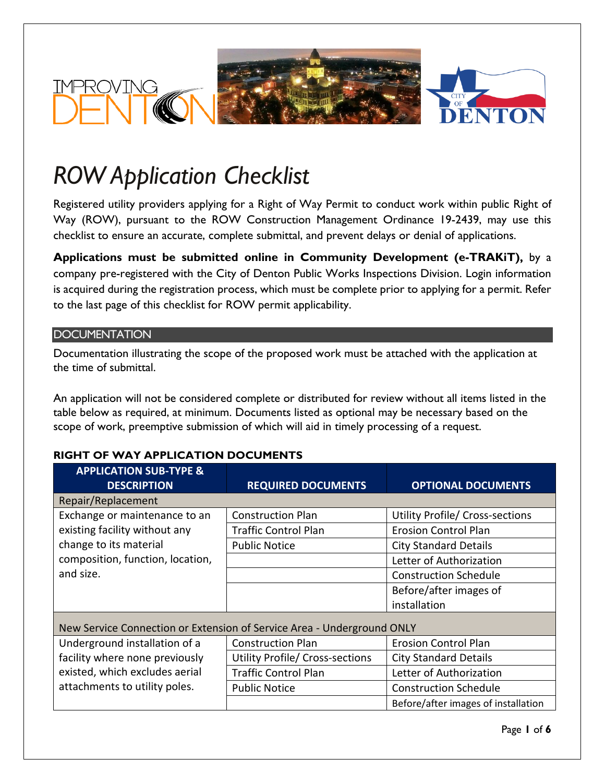

# *ROW Application Checklist*

Registered utility providers applying for a Right of Way Permit to conduct work within public Right of Way (ROW), pursuant to the ROW Construction Management Ordinance 19-2439, may use this checklist to ensure an accurate, complete submittal, and prevent delays or denial of applications.

**Applications must be submitted online in Community Development (e-TRAKiT),** by a company pre-registered with the City of Denton Public Works Inspections Division. Login information is acquired during the registration process, which must be complete prior to applying for a permit. Refer to the last page of this checklist for ROW permit applicability.

# **DOCUMENTATION**

Documentation illustrating the scope of the proposed work must be attached with the application at the time of submittal.

An application will not be considered complete or distributed for review without all items listed in the table below as required, at minimum. Documents listed as optional may be necessary based on the scope of work, preemptive submission of which will aid in timely processing of a request.

#### **APPLICATION SUB-TYPE & DESCRIPTION REQUIRED DOCUMENTS OPTIONAL DOCUMENTS** Repair/Replacement Exchange or maintenance to an existing facility without any change to its material composition, function, location, and size. Construction Plan Utility Profile/ Cross-sections Traffic Control Plan | Erosion Control Plan Public Notice **City Standard Details** Letter of Authorization Construction Schedule Before/after images of installation New Service Connection or Extension of Service Area - Underground ONLY Underground installation of a facility where none previously existed, which excludes aerial attachments to utility poles. Construction Plan **Example 1** Erosion Control Plan Utility Profile/ Cross-sections  $\Box$  City Standard Details Traffic Control Plan Letter of Authorization Public Notice **Construction** Schedule Before/after images of installation

# **RIGHT OF WAY APPLICATION DOCUMENTS**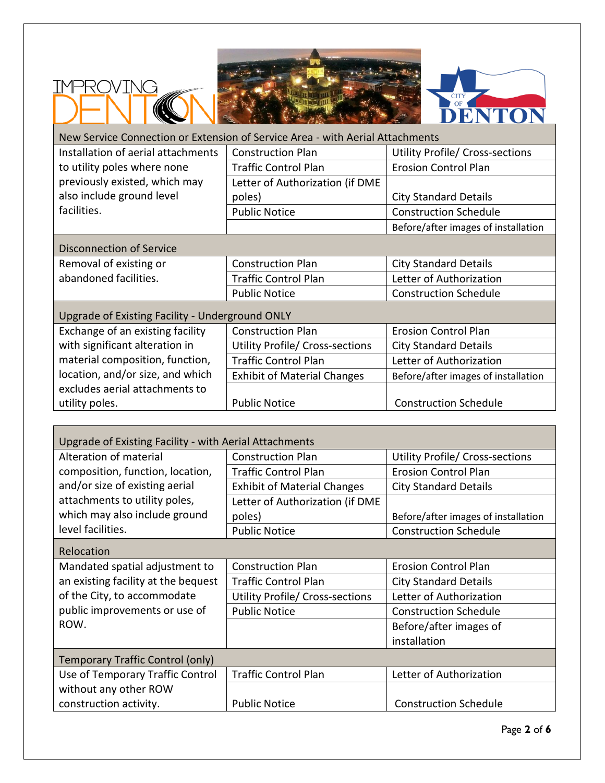

IMPROVING



| New Service Connection or Extension of Service Area - with Aerial Attachments |                                    |                                     |  |  |
|-------------------------------------------------------------------------------|------------------------------------|-------------------------------------|--|--|
| Installation of aerial attachments                                            | <b>Construction Plan</b>           | Utility Profile/ Cross-sections     |  |  |
| to utility poles where none                                                   | <b>Traffic Control Plan</b>        | <b>Erosion Control Plan</b>         |  |  |
| previously existed, which may                                                 | Letter of Authorization (if DME    |                                     |  |  |
| also include ground level                                                     | poles)                             | <b>City Standard Details</b>        |  |  |
| facilities.                                                                   | <b>Public Notice</b>               | <b>Construction Schedule</b>        |  |  |
|                                                                               |                                    | Before/after images of installation |  |  |
| Disconnection of Service                                                      |                                    |                                     |  |  |
| Removal of existing or                                                        | <b>Construction Plan</b>           | <b>City Standard Details</b>        |  |  |
| abandoned facilities.                                                         | <b>Traffic Control Plan</b>        | Letter of Authorization             |  |  |
|                                                                               | <b>Public Notice</b>               | <b>Construction Schedule</b>        |  |  |
| Upgrade of Existing Facility - Underground ONLY                               |                                    |                                     |  |  |
| Exchange of an existing facility                                              | <b>Construction Plan</b>           | <b>Erosion Control Plan</b>         |  |  |
| with significant alteration in                                                | Utility Profile/ Cross-sections    | <b>City Standard Details</b>        |  |  |
| material composition, function,                                               | <b>Traffic Control Plan</b>        | Letter of Authorization             |  |  |
| location, and/or size, and which                                              | <b>Exhibit of Material Changes</b> | Before/after images of installation |  |  |
| excludes aerial attachments to                                                |                                    |                                     |  |  |
| utility poles.                                                                | <b>Public Notice</b>               | <b>Construction Schedule</b>        |  |  |
|                                                                               |                                    |                                     |  |  |
| <b>Lingrade of Existing Facility - with Aerial Attachments</b>                |                                    |                                     |  |  |

| Upgrade of Existing Facility - with Aerial Attachments |                                        |                                        |  |  |
|--------------------------------------------------------|----------------------------------------|----------------------------------------|--|--|
| Alteration of material                                 | <b>Construction Plan</b>               | <b>Utility Profile/ Cross-sections</b> |  |  |
| composition, function, location,                       | <b>Traffic Control Plan</b>            | <b>Erosion Control Plan</b>            |  |  |
| and/or size of existing aerial                         | <b>Exhibit of Material Changes</b>     | <b>City Standard Details</b>           |  |  |
| attachments to utility poles,                          | Letter of Authorization (if DME        |                                        |  |  |
| which may also include ground                          | poles)                                 | Before/after images of installation    |  |  |
| level facilities.                                      | <b>Public Notice</b>                   | <b>Construction Schedule</b>           |  |  |
| Relocation                                             |                                        |                                        |  |  |
| Mandated spatial adjustment to                         | <b>Construction Plan</b>               | <b>Erosion Control Plan</b>            |  |  |
| an existing facility at the bequest                    | <b>Traffic Control Plan</b>            | <b>City Standard Details</b>           |  |  |
| of the City, to accommodate                            | <b>Utility Profile/ Cross-sections</b> | Letter of Authorization                |  |  |
| public improvements or use of                          | <b>Public Notice</b>                   | <b>Construction Schedule</b>           |  |  |
| ROW.                                                   |                                        | Before/after images of                 |  |  |
|                                                        |                                        | installation                           |  |  |
| Temporary Traffic Control (only)                       |                                        |                                        |  |  |
| Use of Temporary Traffic Control                       | <b>Traffic Control Plan</b>            | Letter of Authorization                |  |  |
| without any other ROW                                  |                                        |                                        |  |  |
| construction activity.                                 | <b>Public Notice</b>                   | <b>Construction Schedule</b>           |  |  |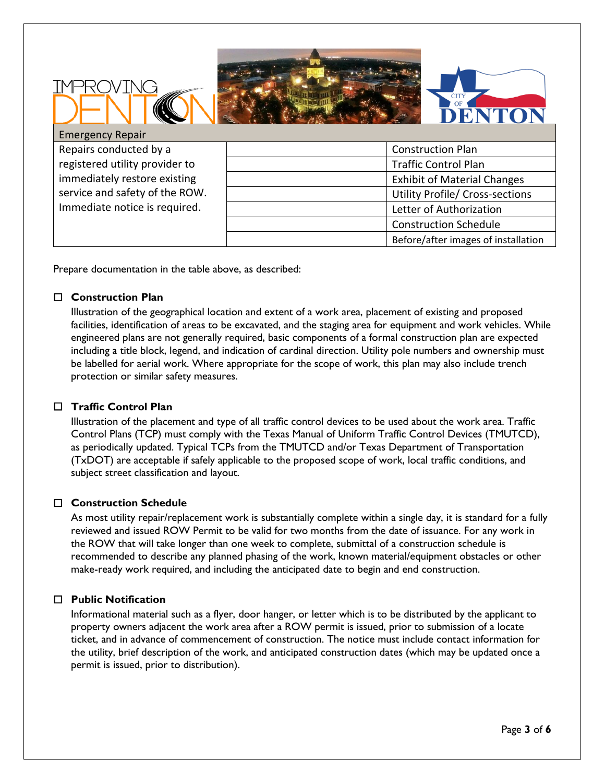



# Emergency Repair

Repairs conducted by a registered utility provider to immediately restore existing service and safety of the ROW. Immediate notice is required.

TNG

| <b>Construction Plan</b>               |
|----------------------------------------|
| <b>Traffic Control Plan</b>            |
| <b>Exhibit of Material Changes</b>     |
| <b>Utility Profile/ Cross-sections</b> |
| Letter of Authorization                |
| <b>Construction Schedule</b>           |
| Before/after images of installation    |

Prepare documentation in the table above, as described:

### ☐ **Construction Plan**

Illustration of the geographical location and extent of a work area, placement of existing and proposed facilities, identification of areas to be excavated, and the staging area for equipment and work vehicles. While engineered plans are not generally required, basic components of a formal construction plan are expected including a title block, legend, and indication of cardinal direction. Utility pole numbers and ownership must be labelled for aerial work. Where appropriate for the scope of work, this plan may also include trench protection or similar safety measures.

# ☐ **Traffic Control Plan**

Illustration of the placement and type of all traffic control devices to be used about the work area. Traffic Control Plans (TCP) must comply with the Texas Manual of Uniform Traffic Control Devices (TMUTCD), as periodically updated. Typical TCPs from the TMUTCD and/or Texas Department of Transportation (TxDOT) are acceptable if safely applicable to the proposed scope of work, local traffic conditions, and subject street classification and layout.

# ☐ **Construction Schedule**

As most utility repair/replacement work is substantially complete within a single day, it is standard for a fully reviewed and issued ROW Permit to be valid for two months from the date of issuance. For any work in the ROW that will take longer than one week to complete, submittal of a construction schedule is recommended to describe any planned phasing of the work, known material/equipment obstacles or other make-ready work required, and including the anticipated date to begin and end construction.

# ☐ **Public Notification**

Informational material such as a flyer, door hanger, or letter which is to be distributed by the applicant to property owners adjacent the work area after a ROW permit is issued, prior to submission of a locate ticket, and in advance of commencement of construction. The notice must include contact information for the utility, brief description of the work, and anticipated construction dates (which may be updated once a permit is issued, prior to distribution).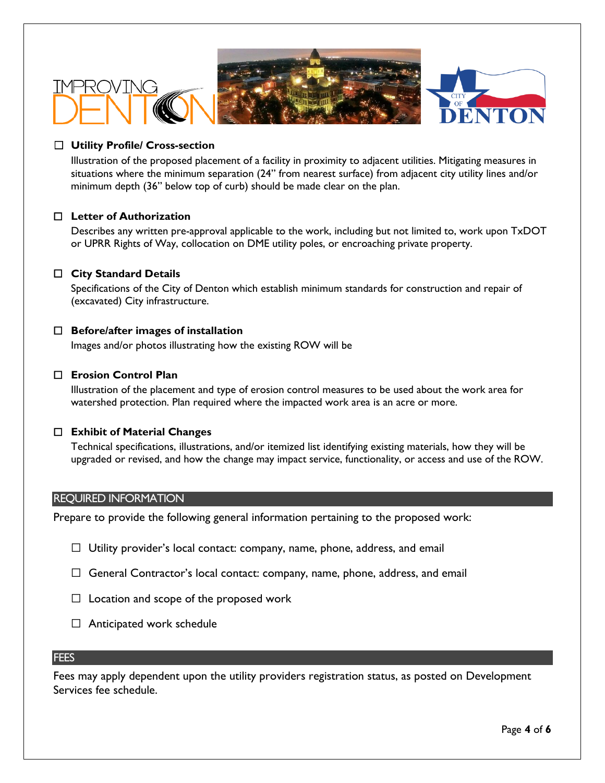



# ☐ **Utility Profile/ Cross-section**

√C วั

Illustration of the proposed placement of a facility in proximity to adjacent utilities. Mitigating measures in situations where the minimum separation (24" from nearest surface) from adjacent city utility lines and/or minimum depth (36" below top of curb) should be made clear on the plan.

### ☐ **Letter of Authorization**

Describes any written pre-approval applicable to the work, including but not limited to, work upon TxDOT or UPRR Rights of Way, collocation on DME utility poles, or encroaching private property.

# ☐ **City Standard Details**

Specifications of the City of Denton which establish minimum standards for construction and repair of (excavated) City infrastructure.

### ☐ **Before/after images of installation**

Images and/or photos illustrating how the existing ROW will be

#### ☐ **Erosion Control Plan**

Illustration of the placement and type of erosion control measures to be used about the work area for watershed protection. Plan required where the impacted work area is an acre or more.

#### ☐ **Exhibit of Material Changes**

Technical specifications, illustrations, and/or itemized list identifying existing materials, how they will be upgraded or revised, and how the change may impact service, functionality, or access and use of the ROW.

#### REQUIRED INFORMATION

Prepare to provide the following general information pertaining to the proposed work:

- $\Box$  Utility provider's local contact: company, name, phone, address, and email
- $\Box$  General Contractor's local contact: company, name, phone, address, and email
- $\Box$  Location and scope of the proposed work
- $\Box$  Anticipated work schedule

#### **FEES**

Fees may apply dependent upon the utility providers registration status, as posted on Development Services fee schedule.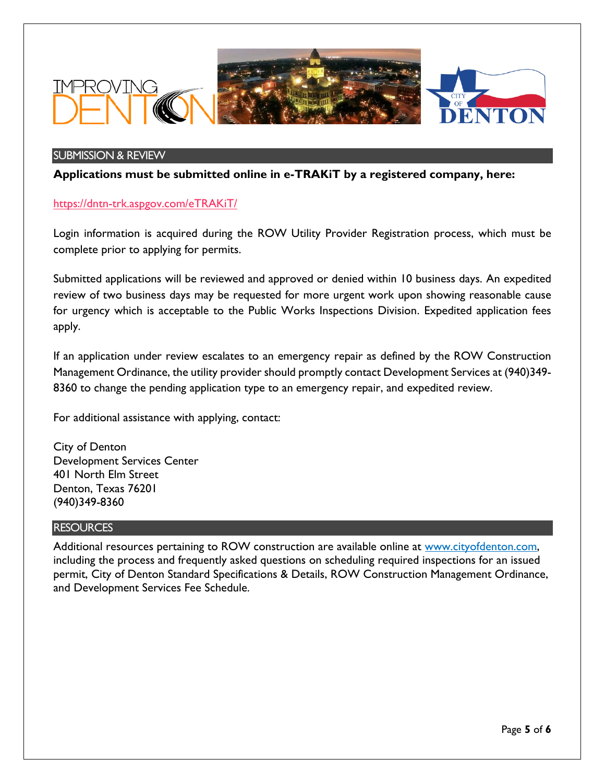

#### SUBMISSION & REVIEW

**Applications must be submitted online in e-TRAKiT by a registered company, here:**

<https://dntn-trk.aspgov.com/eTRAKiT/>

Login information is acquired during the ROW Utility Provider Registration process, which must be complete prior to applying for permits.

Submitted applications will be reviewed and approved or denied within 10 business days. An expedited review of two business days may be requested for more urgent work upon showing reasonable cause for urgency which is acceptable to the Public Works Inspections Division. Expedited application fees apply.

If an application under review escalates to an emergency repair as defined by the ROW Construction Management Ordinance, the utility provider should promptly contact Development Services at (940)349- 8360 to change the pending application type to an emergency repair, and expedited review.

For additional assistance with applying, contact:

City of Denton Development Services Center 401 North Elm Street Denton, Texas 76201 (940)349-8360

#### **RESOURCES**

Additional resources pertaining to ROW construction are available online at [www.cityofdenton.com,](http://www.cityofdenton.com/) including the process and frequently asked questions on scheduling required inspections for an issued permit, City of Denton Standard Specifications & Details, ROW Construction Management Ordinance, and Development Services Fee Schedule.